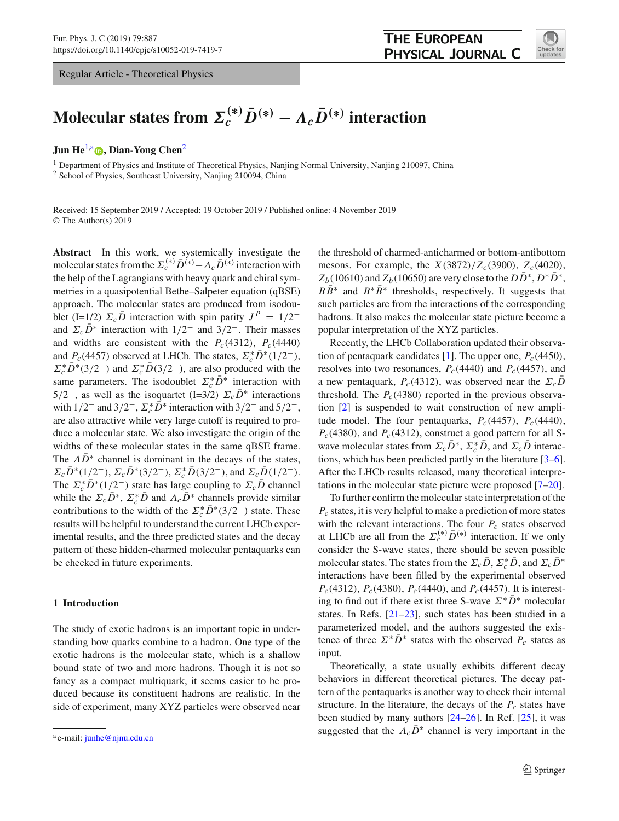Regular Article - Theoretical Physics

<span id="page-0-0"></span>

# **Molecular states from**  $\mathbf{\Sigma}_c^{(*)}\bar{D}^{(*)} - \Lambda_c\bar{D}^{(*)}$  **interaction**

# **Jun He<sup>[1,](#page-0-0)a</sup> D. Dian-Yong Chen<sup>[2](#page-0-0)</sup>**

<sup>1</sup> Department of Physics and Institute of Theoretical Physics, Nanjing Normal University, Nanjing 210097, China <sup>2</sup> School of Physics, Southeast University, Nanjing 210094, China

Received: 15 September 2019 / Accepted: 19 October 2019 / Published online: 4 November 2019 © The Author(s) 2019

**Abstract** In this work, we systemically investigate the molecular states from the  $\Sigma_c^{(*)}\bar{D}^{(*)} - A_c\bar{D}^{(*)}$  interaction with the help of the Lagrangians with heavy quark and chiral symmetries in a quasipotential Bethe–Salpeter equation (qBSE) approach. The molecular states are produced from isodoublet (I=1/2)  $\Sigma_c \bar{D}$  interaction with spin parity  $J^P = 1/2^$ and  $\Sigma_c \bar{D}^*$  interaction with  $1/2^-$  and  $3/2^-$ . Their masses and widths are consistent with the  $P_c(4312)$ ,  $P_c(4440)$ and  $P_c(4457)$  observed at LHCb. The states,  $\Sigma_c^* D^*(1/2^-)$ ,  $\Sigma_c^* D^* (3/2^-)$  and  $\Sigma_c^* D (3/2^-)$ , are also produced with the same parameters. The isodoublet  $\Sigma_c^* D^*$  interaction with  $5/2^-$ , as well as the isoquartet (I=3/2)  $\Sigma_c \bar{D}^*$  interactions with  $1/2^-$  and  $3/2^-$ ,  $\Sigma_c^* D^*$  interaction with  $3/2^-$  and  $5/2^-$ , are also attractive while very large cutoff is required to produce a molecular state. We also investigate the origin of the widths of these molecular states in the same qBSE frame. The  $\Lambda \bar{D}^*$  channel is dominant in the decays of the states,  $\Sigma_c D^*(1/2^-), \Sigma_c D^*(3/2^-), \Sigma_c^* D(3/2^-),$  and  $\Sigma_c D(1/2^-).$ The  $\Sigma_c^* D^* (1/2^-)$  state has large coupling to  $\Sigma_c D$  channel while the  $\Sigma_c D^*$ ,  $\Sigma_c^* D$  and  $\Lambda_c D^*$  channels provide similar contributions to the width of the  $\Sigma_c^* D^* (3/2^-)$  state. These results will be helpful to understand the current LHCb experimental results, and the three predicted states and the decay pattern of these hidden-charmed molecular pentaquarks can be checked in future experiments.

# **1 Introduction**

The study of exotic hadrons is an important topic in understanding how quarks combine to a hadron. One type of the exotic hadrons is the molecular state, which is a shallow bound state of two and more hadrons. Though it is not so fancy as a compact multiquark, it seems easier to be produced because its constituent hadrons are realistic. In the side of experiment, many XYZ particles were observed near

the threshold of charmed-anticharmed or bottom-antibottom mesons. For example, the  $X(3872)/Z_c(3900)$ ,  $Z_c(4020)$ ,  $Z_b(10610)$  and  $Z_b(10650)$  are very close to the  $D\bar{D}^*, D^*\bar{D}^*$ ,  $B\overline{B}^*$  and  $B^*\overline{B}^*$  thresholds, respectively. It suggests that such particles are from the interactions of the corresponding hadrons. It also makes the molecular state picture become a popular interpretation of the XYZ particles.

Recently, the LHCb Collaboration updated their observa-tion of pentaquark candidates [\[1\]](#page-9-0). The upper one,  $P_c(4450)$ , resolves into two resonances,  $P_c(4440)$  and  $P_c(4457)$ , and a new pentaquark,  $P_c(4312)$ , was observed near the  $\Sigma_c D$ threshold. The  $P_c(4380)$  reported in the previous observation [\[2](#page-9-1)] is suspended to wait construction of new amplitude model. The four pentaquarks,  $P_c(4457)$ ,  $P_c(4440)$ ,  $P_c(4380)$ , and  $P_c(4312)$ , construct a good pattern for all Swave molecular states from  $\Sigma_c D^*$ ,  $\Sigma_c^* D$ , and  $\Sigma_c D$  interactions, which has been predicted partly in the literature [\[3](#page-9-2)[–6](#page-9-3)]. After the LHCb results released, many theoretical interpretations in the molecular state picture were proposed [\[7](#page-9-4)[–20](#page-9-5)].

To further confirm the molecular state interpretation of the *Pc* states, it is very helpful to make a prediction of more states with the relevant interactions. The four  $P_c$  states observed at LHCb are all from the  $\Sigma_c^{(*)} \bar{D}^{(*)}$  interaction. If we only consider the S-wave states, there should be seven possible molecular states. The states from the  $\Sigma_c D$ ,  $\Sigma_c^* D$ , and  $\Sigma_c D^*$ interactions have been filled by the experimental observed *Pc*(4312), *Pc*(4380), *Pc*(4440), and *Pc*(4457). It is interesting to find out if there exist three S-wave  $\Sigma^* \overline{D}{}^*$  molecular states. In Refs. [\[21](#page-9-6)[–23](#page-9-7)], such states has been studied in a parameterized model, and the authors suggested the existence of three  $\Sigma^* \bar{D}^*$  states with the observed  $P_c$  states as input.

Theoretically, a state usually exhibits different decay behaviors in different theoretical pictures. The decay pattern of the pentaquarks is another way to check their internal structure. In the literature, the decays of the  $P_c$  states have been studied by many authors [\[24](#page-9-8)[–26](#page-9-9)]. In Ref. [\[25\]](#page-9-10), it was suggested that the  $\Lambda_c\bar{D}^*$  channel is very important in the

a e-mail: [junhe@njnu.edu.cn](mailto:junhe@njnu.edu.cn)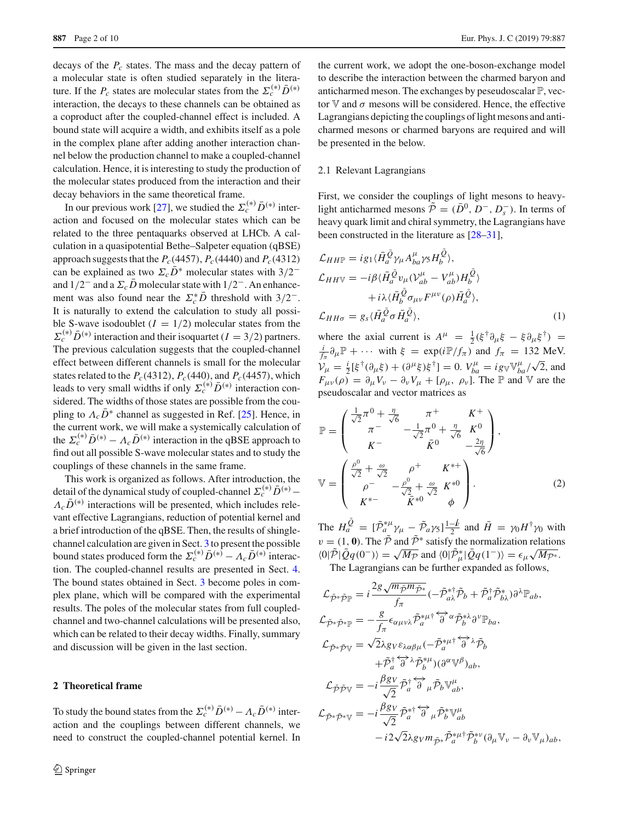decays of the  $P_c$  states. The mass and the decay pattern of a molecular state is often studied separately in the literature. If the  $P_c$  states are molecular states from the  $\Sigma_c^{(*)}\bar{D}^{(*)}$ interaction, the decays to these channels can be obtained as a coproduct after the coupled-channel effect is included. A bound state will acquire a width, and exhibits itself as a pole in the complex plane after adding another interaction channel below the production channel to make a coupled-channel calculation. Hence, it is interesting to study the production of the molecular states produced from the interaction and their decay behaviors in the same theoretical frame.

In our previous work [\[27\]](#page-9-11), we studied the  $\Sigma_c^{(*)} \bar{D}^{(*)}$  interaction and focused on the molecular states which can be related to the three pentaquarks observed at LHCb. A calculation in a quasipotential Bethe–Salpeter equation (qBSE) approach suggests that the  $P_c(4457)$ ,  $P_c(4440)$  and  $P_c(4312)$ can be explained as two  $\Sigma_c \overline{D}^*$  molecular states with 3/2<sup>−</sup> and  $1/2^-$  and a  $\Sigma_c\bar{D}$  molecular state with  $1/2^-$ . An enhancement was also found near the  $\Sigma_c^* D$  threshold with  $3/2^-$ . It is naturally to extend the calculation to study all possible S-wave isodoublet  $(I = 1/2)$  molecular states from the  $\Sigma_c^{(*)} \bar{D}^{(*)}$  interaction and their isoquartet (*I* = 3/2) partners. The previous calculation suggests that the coupled-channel effect between different channels is small for the molecular states related to the  $P_c(4312)$ ,  $P_c(440)$ , and  $P_c(4457)$ , which leads to very small widths if only  $\Sigma_c^{(*)} \bar{D}^{(*)}$  interaction considered. The widths of those states are possible from the coupling to  $\Lambda_c \bar{D}^*$  channel as suggested in Ref. [\[25](#page-9-10)]. Hence, in the current work, we will make a systemically calculation of the  $\Sigma_c^{(*)}\bar{D}^{(*)} - A_c\bar{D}^{(*)}$  interaction in the qBSE approach to find out all possible S-wave molecular states and to study the couplings of these channels in the same frame.

This work is organized as follows. After introduction, the detail of the dynamical study of coupled-channel  $\Sigma_c^{(*)} \bar{D}^{(*)}$  –  $\Lambda_c\bar{D}^{(*)}$  interactions will be presented, which includes relevant effective Lagrangians, reduction of potential kernel and a brief introduction of the qBSE. Then, the results of shinglechannel calculation are given in Sect. [3](#page-4-0) to present the possible bound states produced form the  $\Sigma_c^{(*)} \bar{D}^{(*)} - A_c \bar{D}^{(*)}$  interaction. The coupled-channel results are presented in Sect. [4.](#page-5-0) The bound states obtained in Sect. [3](#page-4-0) become poles in complex plane, which will be compared with the experimental results. The poles of the molecular states from full coupledchannel and two-channel calculations will be presented also, which can be related to their decay widths. Finally, summary and discussion will be given in the last section.

# **2 Theoretical frame**

To study the bound states from the  $\Sigma_c^{(*)} \bar{D}^{(*)} - \Lambda_c \bar{D}^{(*)}$  interaction and the couplings between different channels, we need to construct the coupled-channel potential kernel. In

the current work, we adopt the one-boson-exchange model to describe the interaction between the charmed baryon and anticharmed meson. The exchanges by peseudoscalar  $\mathbb{P}$ , vector V and  $\sigma$  mesons will be considered. Hence, the effective Lagrangians depicting the couplings of light mesons and anticharmed mesons or charmed baryons are required and will be presented in the below.

# 2.1 Relevant Lagrangians

First, we consider the couplings of light mesons to heavylight anticharmed mesons  $\tilde{\mathcal{P}} = (\bar{D}^0, D^-, D^-_s)$ . In terms of heavy quark limit and chiral symmetry, the Lagrangians have been constructed in the literature as [\[28](#page-9-12)[–31](#page-9-13)],

$$
\mathcal{L}_{HH\mathbb{P}} = i g_1 \langle \bar{H}_a^{\bar{Q}} \gamma_\mu A_{ba}^\mu \gamma_5 H_b^Q \rangle,
$$
  
\n
$$
\mathcal{L}_{HHV} = -i \beta \langle \bar{H}_a^{\bar{Q}} v_\mu (\mathcal{V}_{ab}^\mu - V_{ab}^\mu) H_b^{\bar{Q}} \rangle
$$
  
\n
$$
+ i \lambda \langle \bar{H}_b^{\bar{Q}} \sigma_{\mu\nu} F^{\mu\nu}(\rho) \bar{H}_a^{\bar{Q}} \rangle,
$$
  
\n
$$
\mathcal{L}_{HH\sigma} = g_s \langle \bar{H}_a^{\bar{Q}} \sigma \bar{H}_a^{\bar{Q}} \rangle,
$$
\n(1)

where the axial current is  $A^{\mu} = \frac{1}{2} (\xi^{\dagger} \partial_{\mu} \xi - \xi \partial_{\mu} \xi^{\dagger}) =$ <br>*i*<sub>2</sub>  $\mathbb{P}_{++}$  is with  $\xi = \exp(i \mathbb{P}/f)$  and  $f = 132$  MeV  $\frac{i}{f_{\pi}} \partial_{\mu} \mathbb{P} + \cdots$  with  $\xi = \exp(i \mathbb{P}/f_{\pi})$  and  $f_{\pi} = 132$  MeV.  $V_{\mu} = \frac{i}{2} [\xi^{\dagger} (\partial_{\mu} \xi) + (\partial^{\mu} \xi) \xi^{\dagger}] = 0.$   $V_{ba}^{\mu} = ig_{\mathbb{V}} \mathbb{V}_{ba}^{\mu} / \sqrt{2}$ , and  $F_{\mu\nu}(\rho) = \partial_{\mu}V_{\nu} - \partial_{\nu}V_{\mu} + [\rho_{\mu}, \rho_{\nu}]$ . The P and V are the pseudoscalar and vector matrices as

<span id="page-1-1"></span>
$$
\mathbb{P} = \begin{pmatrix} \frac{1}{\sqrt{2}} \pi^0 + \frac{\eta}{\sqrt{6}} & \pi^+ & K^+ \\ \pi^- & -\frac{1}{\sqrt{2}} \pi^0 + \frac{\eta}{\sqrt{6}} & K^0 \\ K^- & \bar{K}^0 & -\frac{2\eta}{\sqrt{6}} \end{pmatrix},
$$

$$
\mathbb{V} = \begin{pmatrix} \frac{\rho^0}{\sqrt{2}} + \frac{\omega}{\sqrt{2}} & \rho^+ & K^{*+} \\ \rho^- & -\frac{\rho^0}{\sqrt{2}} + \frac{\omega}{\sqrt{2}} & K^{*0} \\ K^{*-} & \bar{K}^{*0} & \phi \end{pmatrix}.
$$
(2)

The  $H_a^{\bar{Q}} = [\tilde{\mathcal{P}}_a^* \mathcal{Y}_\mu - \tilde{\mathcal{P}}_a \mathcal{Y}_5] \frac{1-b}{2}$  and  $\bar{H} = \gamma_0 H^{\dagger} \gamma_0$  with  $v = (1, 0)$ . The  $\tilde{P}$  and  $\tilde{P}^*$  satisfy the normalization relations  $\langle 0|\tilde{\mathcal{P}}|\tilde{Q}q(0^-)\rangle = \sqrt{M_{\mathcal{P}}}$  and  $\langle 0|\tilde{\mathcal{P}}^*_{\mu}|\tilde{Q}q(1^-)\rangle = \epsilon_{\mu}\sqrt{M_{\mathcal{P}^*}}$ .

The Lagrangians can be further expanded as follows,

<span id="page-1-0"></span>
$$
\mathcal{L}_{\tilde{\mathcal{P}}^*\tilde{\mathcal{P}}\mathbb{P}} = i \frac{2g\sqrt{m_{\tilde{\mathcal{P}}}m_{\tilde{\mathcal{P}}^*}}}{f_{\pi}} (-\tilde{\mathcal{P}}_{a\lambda}^{*\dagger} \tilde{\mathcal{P}}_{b} + \tilde{\mathcal{P}}_{a}^{\dagger} \tilde{\mathcal{P}}_{b\lambda}^{*}) \partial^{\lambda} \mathbb{P}_{ab},
$$
  
\n
$$
\mathcal{L}_{\tilde{\mathcal{P}}^*\tilde{\mathcal{P}}^*\mathbb{P}} = -\frac{g}{f_{\pi}} \epsilon_{\alpha\mu\nu\lambda} \tilde{\mathcal{P}}_{a}^{*\mu\dagger} \overleftrightarrow{\partial}^{\alpha} \tilde{\mathcal{P}}_{b}^{*\lambda} \partial^{\nu} \mathbb{P}_{ba},
$$
  
\n
$$
\mathcal{L}_{\tilde{\mathcal{P}}^*\tilde{\mathcal{P}}^*\mathbb{V}} = \sqrt{2} \lambda g_V \epsilon_{\lambda\alpha\beta\mu} (-\tilde{\mathcal{P}}_{a}^{*\mu\dagger} \overleftrightarrow{\partial}^{\lambda} \tilde{\mathcal{P}}_{b} + \tilde{\mathcal{P}}_{a}^{\dagger} \overleftrightarrow{\partial}^{\lambda} \tilde{\mathcal{P}}_{b}^{*\mu}) (\partial^{\alpha} \mathbb{V}^{\beta})_{ab},
$$
  
\n
$$
\mathcal{L}_{\tilde{\mathcal{P}}\tilde{\mathcal{P}}\mathbb{V}} = -i \frac{\beta g_V}{\sqrt{2}} \tilde{\mathcal{P}}_{a}^{\dagger} \overleftrightarrow{\partial}_{\mu} \tilde{\mathcal{P}}_{b} \mathbb{V}_{ab}^{\mu},
$$
  
\n
$$
\mathcal{L}_{\tilde{\mathcal{P}}^*\tilde{\mathcal{P}}^*\mathbb{V}} = -i \frac{\beta g_V}{\sqrt{2}} \tilde{\mathcal{P}}_{a}^{*\dagger} \overleftrightarrow{\partial}_{\mu} \tilde{\mathcal{P}}_{b}^{*\mu} \mathbb{V}_{ab}^{\mu}
$$
  
\n
$$
-i 2\sqrt{2} \lambda g_V m_{\tilde{\mathcal{P}}^*} \tilde{\mathcal{P}}_{a}^{*\mu\dagger} \tilde{\mathcal{P}}_{b}^{*\nu} (\partial_{\mu} \mathbb{V}_{\nu} - \partial_{\nu} \
$$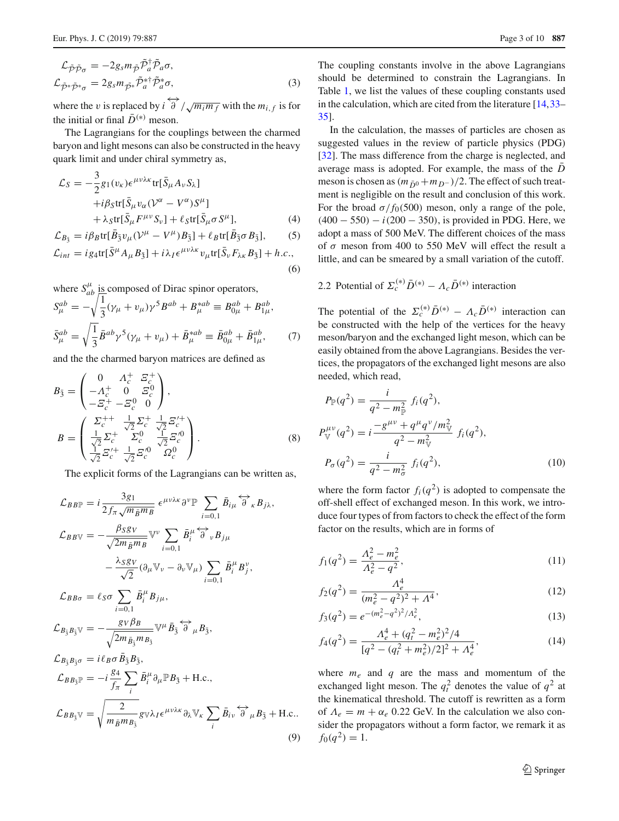$$
\mathcal{L}_{\tilde{\mathcal{P}}\tilde{\mathcal{P}}\sigma} = -2g_s m_{\tilde{\mathcal{P}}} \tilde{\mathcal{P}}_a^{\dagger} \tilde{\mathcal{P}}_a \sigma,
$$
  

$$
\mathcal{L}_{\tilde{\mathcal{P}}^*\tilde{\mathcal{P}}^*\sigma} = 2g_s m_{\tilde{\mathcal{P}}^*} \tilde{\mathcal{P}}_a^*\tilde{\mathcal{P}}_a^*\sigma,
$$
 (3)

where the *v* is replaced by  $i \overleftrightarrow{\partial} / \sqrt{m_i m_f}$  with the  $m_{i,f}$  is for the initial or final  $\bar{D}^{(*)}$  meson.

The Lagrangians for the couplings between the charmed baryon and light mesons can also be constructed in the heavy quark limit and under chiral symmetry as,

$$
\mathcal{L}_S = -\frac{3}{2} g_1(v_k) \epsilon^{\mu\nu\lambda\kappa} \text{tr}[\bar{S}_{\mu} A_{\nu} S_{\lambda}] \n+ i\beta_S \text{tr}[\bar{S}_{\mu} v_{\alpha} (\mathcal{V}^{\alpha} - V^{\alpha}) S^{\mu}] \n+ \lambda_S \text{tr}[\bar{S}_{\mu} F^{\mu\nu} S_{\nu}] + \ell_S \text{tr}[\bar{S}_{\mu} \sigma S^{\mu}],
$$
\n(4)

$$
\mathcal{L}_{B_{\bar{3}}} = i\beta_B \text{tr}[\bar{B}_{\bar{3}}v_\mu(\mathcal{V}^\mu - V^\mu)B_{\bar{3}}] + \ell_B \text{tr}[\bar{B}_{\bar{3}}\sigma B_{\bar{3}}], \qquad (5)
$$
  

$$
\mathcal{L}_{int} = i g_4 \text{tr}[\bar{S}^\mu A_\mu B_{\bar{3}}] + i\lambda_I \epsilon^{\mu\nu\lambda\kappa} v_\mu \text{tr}[\bar{S}_\nu F_{\lambda\kappa} B_{\bar{3}}] + h.c., \qquad (6)
$$

where  $S_{ab}^{\mu}$  is composed of Dirac spinor operators,

$$
S_{\mu}^{ab} = -\sqrt{\frac{1}{3}} (\gamma_{\mu} + v_{\mu}) \gamma^{5} B^{ab} + B_{\mu}^{*ab} \equiv B_{0\mu}^{ab} + B_{1\mu}^{ab},
$$
  

$$
\bar{S}_{\mu}^{ab} = \sqrt{\frac{1}{3}} \bar{B}^{ab} \gamma^{5} (\gamma_{\mu} + v_{\mu}) + \bar{B}_{\mu}^{*ab} \equiv \bar{B}_{0\mu}^{ab} + \bar{B}_{1\mu}^{ab}, \tag{7}
$$

and the the charmed baryon matrices are defined as

<span id="page-2-1"></span>
$$
B_{\bar{3}} = \begin{pmatrix} 0 & A_c^+ & \Xi_c^+ \\ -A_c^+ & 0 & \Xi_c^0 \\ -\Xi_c^+ & -\Xi_c^0 & 0 \end{pmatrix},
$$
  
\n
$$
B = \begin{pmatrix} \Sigma_c^{++} & \frac{1}{\sqrt{2}} \Sigma_c^+ & \frac{1}{\sqrt{2}} \Xi_c'^+ \\ \frac{1}{\sqrt{2}} \Sigma_c^+ & \Sigma_c^0 & \frac{1}{\sqrt{2}} \Xi_c'^0 \\ \frac{1}{\sqrt{2}} \Xi_c'^+ & \frac{1}{\sqrt{2}} \Xi_c'^0 & \Omega_c^0 \end{pmatrix}.
$$
 (8)

The explicit forms of the Lagrangians can be written as,

<span id="page-2-0"></span>
$$
\mathcal{L}_{BBF} = i \frac{3g_1}{2f_\pi \sqrt{m_{\bar{B}}m_B}} \epsilon^{\mu\nu\lambda\kappa} \partial^{\nu} \mathbb{P} \sum_{i=0,1} \bar{B}_{i\mu} \overleftrightarrow{\partial}_{\kappa} B_{j\lambda},
$$
  
\n
$$
\mathcal{L}_{BBV} = -\frac{\beta_S g_V}{\sqrt{2m_{\bar{B}}m_B}} \mathbb{V}^{\nu} \sum_{i=0,1} \bar{B}_{i}^{\mu} \overleftrightarrow{\partial}_{\nu} B_{j\mu}
$$
  
\n
$$
-\frac{\lambda_S g_V}{\sqrt{2}} (\partial_{\mu} \mathbb{V}_{\nu} - \partial_{\nu} \mathbb{V}_{\mu}) \sum_{i=0,1} \bar{B}_{i}^{\mu} B_{j}^{\nu},
$$
  
\n
$$
\mathcal{L}_{BB\sigma} = \ell_S \sigma \sum_{i=0,1} \bar{B}_{i}^{\mu} B_{j\mu},
$$
  
\n
$$
\mathcal{L}_{B_{\bar{3}}B_{\bar{3}}} \mathbb{V} = -\frac{g_V \beta_B}{\sqrt{2m_{\bar{B}_{\bar{3}}}m_{\bar{B}_{\bar{3}}}}} \mathbb{V}^{\mu} \bar{B}_{\bar{3}} \overleftrightarrow{\partial}_{\mu} B_{\bar{3}},
$$
  
\n
$$
\mathcal{L}_{B_{\bar{3}}B_{\bar{3}}\sigma} = i \ell_B \sigma \bar{B}_{\bar{3}} B_{\bar{3}},
$$
  
\n
$$
\mathcal{L}_{BB_{\bar{3}}} \mathbb{P} = -i \frac{g_4}{f_\pi} \sum_{i} \bar{B}_{i}^{\mu} \partial_{\mu} \mathbb{P} B_{\bar{3}} + \text{H.c.},
$$
  
\n
$$
\mathcal{L}_{BB_{\bar{3}}} \mathbb{V} = \sqrt{\frac{2}{m_{\bar{B}}m_{B_{\bar{3}}}}} g_{\nu} \lambda_I \epsilon^{\mu \nu \lambda \kappa} \partial_{\lambda} \mathbb{V}_{\kappa} \sum_{i} \bar{B}_{i\nu} \overleftrightarrow{\partial}_{\mu} B_{\bar{3}} + \text{H.c.}.
$$
  
\n(9)

The coupling constants involve in the above Lagrangians should be determined to constrain the Lagrangians. In Table [1,](#page-3-0) we list the values of these coupling constants used in the calculation, which are cited from the literature [\[14](#page-9-14)[,33](#page-9-15)– [35](#page-9-16)].

In the calculation, the masses of particles are chosen as suggested values in the review of particle physics (PDG) [\[32](#page-9-17)]. The mass difference from the charge is neglected, and average mass is adopted. For example, the mass of the  $\overline{D}$ meson is chosen as  $(m_{\bar{D}^0} + m_{D^-})/2$ . The effect of such treatment is negligible on the result and conclusion of this work. For the broad  $\sigma/f_0(500)$  meson, only a range of the pole, (400 − 550) − *i*(200 − 350), is provided in PDG. Here, we adopt a mass of 500 MeV. The different choices of the mass of  $\sigma$  meson from 400 to 550 MeV will effect the result a little, and can be smeared by a small variation of the cutoff.

# 2.2 Potential of  $\Sigma_c^{(*)}\bar{D}^{(*)} - A_c\bar{D}^{(*)}$  interaction

The potential of the  $\Sigma_c^{(*)}\bar{D}^{(*)} - A_c\bar{D}^{(*)}$  interaction can be constructed with the help of the vertices for the heavy meson/baryon and the exchanged light meson, which can be easily obtained from the above Lagrangians. Besides the vertices, the propagators of the exchanged light mesons are also needed, which read,

$$
P_{\mathbb{P}}(q^2) = \frac{i}{q^2 - m_{\mathbb{P}}^2} f_i(q^2),
$$
  
\n
$$
P_{\mathbb{V}}^{\mu\nu}(q^2) = i \frac{-g^{\mu\nu} + q^{\mu}q^{\nu}/m_{\mathbb{V}}^2}{q^2 - m_{\mathbb{V}}^2} f_i(q^2),
$$
  
\n
$$
P_{\sigma}(q^2) = \frac{i}{q^2 - m_{\sigma}^2} f_i(q^2),
$$
\n(10)

where the form factor  $f_i(q^2)$  is adopted to compensate the off-shell effect of exchanged meson. In this work, we introduce four types of from factors to check the effect of the form factor on the results, which are in forms of

<span id="page-2-2"></span>
$$
f_1(q^2) = \frac{\Lambda_e^2 - m_e^2}{\Lambda_e^2 - q^2},\tag{11}
$$

$$
f_2(q^2) = \frac{\Lambda_e^4}{(m_e^2 - q^2)^2 + \Lambda^4},\tag{12}
$$

$$
f_3(q^2) = e^{-(m_e^2 - q^2)^2/\Lambda_e^2},\tag{13}
$$

<span id="page-2-3"></span>
$$
f_4(q^2) = \frac{\Lambda_e^4 + (q_t^2 - m_e^2)^2/4}{[q^2 - (q_t^2 + m_e^2)/2]^2 + \Lambda_e^4},\tag{14}
$$

where  $m_e$  and  $q$  are the mass and momentum of the exchanged light meson. The  $q_t^2$  denotes the value of  $q^2$  at the kinematical threshold. The cutoff is rewritten as a form of  $\Lambda_e = m + \alpha_e$  0.22 GeV. In the calculation we also consider the propagators without a form factor, we remark it as  $f_0(q^2) = 1.$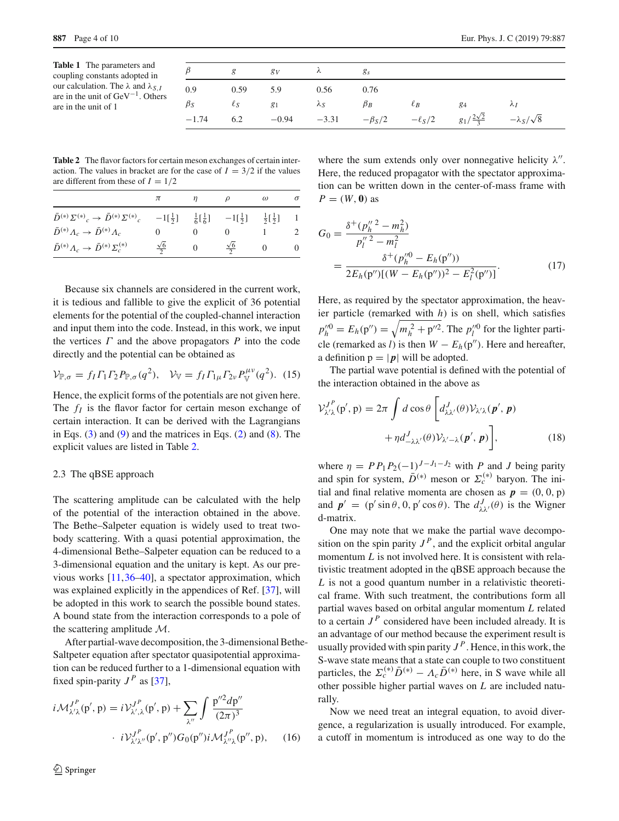<span id="page-3-0"></span>

| <b>Table 1</b> The parameters and                  |
|----------------------------------------------------|
| coupling constants adopted in                      |
| our calculation. The $\lambda$ and $\lambda_{S,I}$ |
| are in the unit of $GeV^{-1}$ . Others             |
| are in the unit of 1                               |

|           |            | $g$ $g_V$                            | $\lambda$ $g_s$ |      |          |                                                                                          |             |
|-----------|------------|--------------------------------------|-----------------|------|----------|------------------------------------------------------------------------------------------|-------------|
| 0.9       | $0.59$ 5.9 |                                      | 0.56            | 0.76 |          |                                                                                          |             |
| $\beta_S$ |            | $\ell_S$ $g_1$ $\lambda_S$ $\beta_B$ |                 |      | $\ell_B$ | 84                                                                                       | $\lambda I$ |
| $-1.74$   | 6.2        |                                      |                 |      |          | $-0.94$ $-3.31$ $-\beta_S/2$ $-\ell_S/2$ $g_1/\frac{2\sqrt{2}}{3}$ $-\lambda_S/\sqrt{8}$ |             |

<span id="page-3-1"></span>**Table 2** The flavor factors for certain meson exchanges of certain interaction. The values in bracket are for the case of  $I = 3/2$  if the values are different from these of  $I = 1/2$ 

|                                                                              |                      |          |                                                                                                                                         | $\omega$ | $\sigma$ |
|------------------------------------------------------------------------------|----------------------|----------|-----------------------------------------------------------------------------------------------------------------------------------------|----------|----------|
| $\bar{D}^{(*)}\Sigma^{(*)}{}_{c}\rightarrow \bar{D}^{(*)}\Sigma^{(*)}{}_{c}$ |                      |          | $-1\left[\frac{1}{2}\right]$ $\frac{1}{6}\left[\frac{1}{6}\right]$ $-1\left[\frac{1}{2}\right]$ $\frac{1}{2}\left[\frac{1}{2}\right]$ 1 |          |          |
| $\bar{D}^{(*)} \Lambda_c \rightarrow \bar{D}^{(*)} \Lambda_c$                |                      |          |                                                                                                                                         |          |          |
| $\bar{D}^{(*)}A_c \to \bar{D}^{(*)}\Sigma_c^{(*)}$                           | $\frac{\sqrt{6}}{2}$ | $\theta$ | $\frac{\sqrt{6}}{2}$                                                                                                                    |          | $\theta$ |

Because six channels are considered in the current work, it is tedious and fallible to give the explicit of 36 potential elements for the potential of the coupled-channel interaction and input them into the code. Instead, in this work, we input the vertices  $\Gamma$  and the above propagators  $P$  into the code directly and the potential can be obtained as

$$
\mathcal{V}_{\mathbb{P},\sigma} = f_I \Gamma_1 \Gamma_2 P_{\mathbb{P},\sigma}(q^2), \quad \mathcal{V}_{\mathbb{V}} = f_I \Gamma_{1\mu} \Gamma_{2\nu} P_{\mathbb{V}}^{\mu\nu}(q^2). \tag{15}
$$

Hence, the explicit forms of the potentials are not given here. The  $f_I$  is the flavor factor for certain meson exchange of certain interaction. It can be derived with the Lagrangians in Eqs.  $(3)$  and  $(9)$  and the matrices in Eqs.  $(2)$  and  $(8)$ . The explicit values are listed in Table [2.](#page-3-1)

# 2.3 The qBSE approach

The scattering amplitude can be calculated with the help of the potential of the interaction obtained in the above. The Bethe–Salpeter equation is widely used to treat twobody scattering. With a quasi potential approximation, the 4-dimensional Bethe–Salpeter equation can be reduced to a 3-dimensional equation and the unitary is kept. As our previous works [\[11,](#page-9-18)[36](#page-9-19)[–40\]](#page-9-20), a spectator approximation, which was explained explicitly in the appendices of Ref. [\[37](#page-9-21)], will be adopted in this work to search the possible bound states. A bound state from the interaction corresponds to a pole of the scattering amplitude *M*.

After partial-wave decomposition, the 3-dimensional Bethe-Saltpeter equation after spectator quasipotential approximation can be reduced further to a 1-dimensional equation with fixed spin-parity  $J<sup>P</sup>$  as [\[37](#page-9-21)],

$$
i\mathcal{M}_{\lambda'\lambda}^{J^P}(p',p) = i\mathcal{V}_{\lambda',\lambda}^{J^P}(p',p) + \sum_{\lambda''} \int \frac{p''^2 dp''}{(2\pi)^3}
$$

$$
i\mathcal{V}_{\lambda'\lambda''}^{J^P}(p',p'')G_0(p'')i\mathcal{M}_{\lambda''\lambda}^{J^P}(p'',p), \qquad (16)
$$

where the sum extends only over nonnegative helicity  $\lambda''$ . Here, the reduced propagator with the spectator approximation can be written down in the center-of-mass frame with  $P = (W, 0)$  as

$$
G_0 = \frac{\delta^+(p_h''^2 - m_h^2)}{p_l''^2 - m_l^2}
$$
  
= 
$$
\frac{\delta^+(p_h''^0 - E_h(\mathbf{p}'))}{2E_h(\mathbf{p}'')[(W - E_h(\mathbf{p}'))^2 - E_l^2(\mathbf{p}'')]}. \tag{17}
$$

Here, as required by the spectator approximation, the heavier particle (remarked with *h*) is on shell, which satisfies  $p_{h}^{"0} = E_h(p'') = \sqrt{m_h^2 + p''^2}$ . The  $p_l^{"0}$  for the lighter particle (remarked as *l*) is then  $W - E_h(p'')$ . Here and hereafter, a definition  $p = |p|$  will be adopted.

The partial wave potential is defined with the potential of the interaction obtained in the above as

$$
\mathcal{V}_{\lambda'\lambda}^{J^P}(\mathbf{p}', \mathbf{p}) = 2\pi \int d\cos\theta \left[ d_{\lambda\lambda'}^J(\theta) \mathcal{V}_{\lambda'\lambda}(\mathbf{p}', \mathbf{p}) + \eta d_{-\lambda\lambda'}^J(\theta) \mathcal{V}_{\lambda'-\lambda}(\mathbf{p}', \mathbf{p}) \right],
$$
\n(18)

where  $\eta = P P_1 P_2(-1)^{J-J_1-J_2}$  with *P* and *J* being parity and spin for system,  $\bar{D}^{(*)}$  meson or  $\Sigma_c^{(*)}$  baryon. The initial and final relative momenta are chosen as  $p = (0, 0, p)$ and  $p' = (p' \sin \theta, 0, p' \cos \theta)$ . The  $d_{\lambda \lambda'}^J(\theta)$  is the Wigner d-matrix.

One may note that we make the partial wave decomposition on the spin parity  $J<sup>P</sup>$ , and the explicit orbital angular momentum *L* is not involved here. It is consistent with relativistic treatment adopted in the qBSE approach because the *L* is not a good quantum number in a relativistic theoretical frame. With such treatment, the contributions form all partial waves based on orbital angular momentum *L* related to a certain  $J<sup>P</sup>$  considered have been included already. It is an advantage of our method because the experiment result is usually provided with spin parity  $J<sup>P</sup>$ . Hence, in this work, the S-wave state means that a state can couple to two constituent particles, the  $\Sigma_c^{(*)}\bar{D}^{(*)} - A_c\bar{D}^{(*)}$  here, in S wave while all other possible higher partial waves on *L* are included naturally.

Now we need treat an integral equation, to avoid divergence, a regularization is usually introduced. For example, a cutoff in momentum is introduced as one way to do the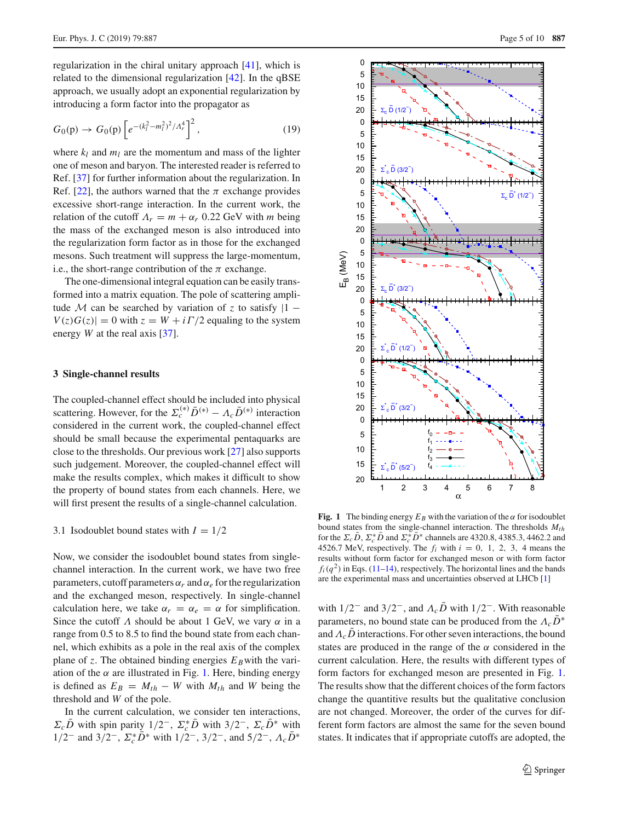regularization in the chiral unitary approach [\[41\]](#page-9-22), which is related to the dimensional regularization [\[42](#page-9-23)]. In the qBSE approach, we usually adopt an exponential regularization by introducing a form factor into the propagator as

<span id="page-4-2"></span>
$$
G_0(\mathbf{p}) \to G_0(\mathbf{p}) \left[ e^{-(k_l^2 - m_l^2)^2 / \Lambda_r^4} \right]^2, \tag{19}
$$

where  $k_l$  and  $m_l$  are the momentum and mass of the lighter one of meson and baryon. The interested reader is referred to Ref. [\[37\]](#page-9-21) for further information about the regularization. In Ref. [\[22](#page-9-24)], the authors warned that the  $\pi$  exchange provides excessive short-range interaction. In the current work, the relation of the cutoff  $\Lambda_r = m + \alpha_r$  0.22 GeV with *m* being the mass of the exchanged meson is also introduced into the regularization form factor as in those for the exchanged mesons. Such treatment will suppress the large-momentum, i.e., the short-range contribution of the  $\pi$  exchange.

The one-dimensional integral equation can be easily transformed into a matrix equation. The pole of scattering amplitude *M* can be searched by variation of *z* to satisfy  $|1 V(z)G(z) = 0$  with  $z = W + i\Gamma/2$  equaling to the system energy *W* at the real axis [\[37](#page-9-21)].

#### <span id="page-4-0"></span>**3 Single-channel results**

The coupled-channel effect should be included into physical scattering. However, for the  $\Sigma_c^{(*)}\bar{D}^{(*)} - A_c\bar{D}^{(*)}$  interaction considered in the current work, the coupled-channel effect should be small because the experimental pentaquarks are close to the thresholds. Our previous work [\[27](#page-9-11)] also supports such judgement. Moreover, the coupled-channel effect will make the results complex, which makes it difficult to show the property of bound states from each channels. Here, we will first present the results of a single-channel calculation.

## 3.1 Isodoublet bound states with  $I = 1/2$

Now, we consider the isodoublet bound states from singlechannel interaction. In the current work, we have two free parameters, cutoff parameters  $\alpha_r$  and  $\alpha_e$  for the regularization and the exchanged meson, respectively. In single-channel calculation here, we take  $\alpha_r = \alpha_e = \alpha$  for simplification. Since the cutoff  $\Lambda$  should be about 1 GeV, we vary  $\alpha$  in a range from 0.5 to 8.5 to find the bound state from each channel, which exhibits as a pole in the real axis of the complex plane of *z*. The obtained binding energies  $E_B$  with the variation of the  $\alpha$  are illustrated in Fig. [1.](#page-4-1) Here, binding energy is defined as  $E_B = M_{th} - W$  with  $M_{th}$  and *W* being the threshold and *W* of the pole.

In the current calculation, we consider ten interactions,  $\Sigma_c D$  with spin parity 1/2<sup>-</sup>,  $\Sigma_c^* D$  with 3/2<sup>-</sup>,  $\Sigma_c D^*$  with 1/2<sup>−</sup> and 3/2<sup>−</sup>,  $\Sigma_c^* D^*$  with 1/2<sup>−</sup>, 3/2<sup>−</sup>, and 5/2<sup>−</sup>,  $\Lambda_c D^*$ 



<span id="page-4-1"></span>**Fig. 1** The binding energy  $E_B$  with the variation of the  $\alpha$  for isodoublet bound states from the single-channel interaction. The thresholds  $M_{th}$ for the  $\Sigma_c D$ ,  $\Sigma_c^* D$  and  $\Sigma_c^* D^*$  channels are 4320.8, 4385.3, 4462.2 and 4526.7 MeV, respectively. The  $f_i$  with  $i = 0, 1, 2, 3, 4$  means the results without form factor for exchanged meson or with form factor  $f_i(q^2)$  in Eqs. [\(11](#page-2-2)[–14\)](#page-2-3), respectively. The horizontal lines and the bands are the experimental mass and uncertainties observed at LHCb [\[1](#page-9-0)]

with  $1/2^-$  and  $3/2^-$ , and  $\Lambda_c\bar{D}$  with  $1/2^-$ . With reasonable parameters, no bound state can be produced from the  $\Lambda_c D^*$ and  $\Lambda_c$ D interactions. For other seven interactions, the bound states are produced in the range of the  $\alpha$  considered in the current calculation. Here, the results with different types of form factors for exchanged meson are presented in Fig. [1.](#page-4-1) The results show that the different choices of the form factors change the quantitive results but the qualitative conclusion are not changed. Moreover, the order of the curves for different form factors are almost the same for the seven bound states. It indicates that if appropriate cutoffs are adopted, the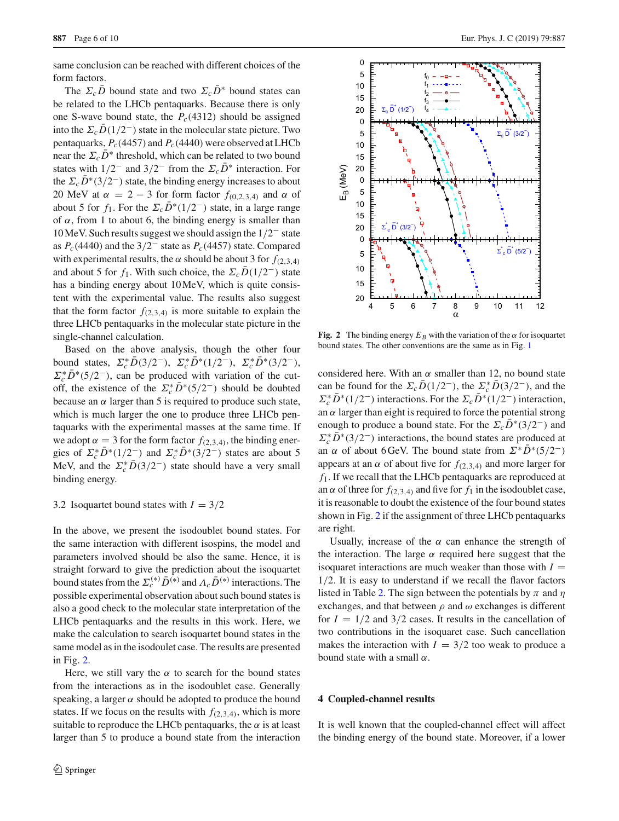same conclusion can be reached with different choices of the form factors.

The  $\Sigma_c\bar{D}$  bound state and two  $\Sigma_c\bar{D}^*$  bound states can be related to the LHCb pentaquarks. Because there is only one S-wave bound state, the  $P_c(4312)$  should be assigned into the  $\Sigma_c\bar{D}(1/2^-)$  state in the molecular state picture. Two pentaquarks,  $P_c(4457)$  and  $P_c(4440)$  were observed at LHCb near the  $\Sigma_c \bar{D}^*$  threshold, which can be related to two bound states with  $1/2^-$  and  $3/2^-$  from the  $\Sigma_c \bar{D}^*$  interaction. For the  $\Sigma_c\bar{D}^*(3/2^-)$  state, the binding energy increases to about 20 MeV at  $\alpha = 2 - 3$  for form factor  $f_{(0,2,3,4)}$  and  $\alpha$  of about 5 for  $f_1$ . For the  $\Sigma_c \overline{D}^*(1/2^-)$  state, in a large range of  $\alpha$ , from 1 to about 6, the binding energy is smaller than 10 MeV. Such results suggest we should assign the 1/2− state as *Pc*(4440) and the 3/2<sup>−</sup> state as *Pc*(4457) state. Compared with experimental results, the  $\alpha$  should be about 3 for  $f_{(2,3,4)}$ and about 5 for  $f_1$ . With such choice, the  $\Sigma_c\overline{D}(1/2^-)$  state has a binding energy about 10 MeV, which is quite consistent with the experimental value. The results also suggest that the form factor  $f_{(2,3,4)}$  is more suitable to explain the three LHCb pentaquarks in the molecular state picture in the single-channel calculation.

Based on the above analysis, though the other four bound states,  $\Sigma_c^* D(3/2^-)$ ,  $\Sigma_c^* D^*(1/2^-)$ ,  $\Sigma_c^* D^*(3/2^-)$ ,  $\Sigma_c^* D^* (5/2^-)$ , can be produced with variation of the cutoff, the existence of the  $\Sigma_c^* D^* (5/2^-)$  should be doubted because an  $\alpha$  larger than 5 is required to produce such state, which is much larger the one to produce three LHCb pentaquarks with the experimental masses at the same time. If we adopt  $\alpha = 3$  for the form factor  $f_{(2,3,4)}$ , the binding energies of  $\Sigma_c^* D^* (1/2^-)$  and  $\Sigma_c^* D^* (3/2^-)$  states are about 5 MeV, and the  $\Sigma_c^* D(3/2^-)$  state should have a very small binding energy.

#### 3.2 Isoquartet bound states with  $I = 3/2$

In the above, we present the isodoublet bound states. For the same interaction with different isospins, the model and parameters involved should be also the same. Hence, it is straight forward to give the prediction about the isoquartet bound states from the  $\Sigma_c^{(*)}\bar{D}^{(*)}$  and  $\Lambda_c\bar{D}^{(*)}$  interactions. The possible experimental observation about such bound states is also a good check to the molecular state interpretation of the LHCb pentaquarks and the results in this work. Here, we make the calculation to search isoquartet bound states in the same model as in the isodoulet case. The results are presented in Fig. [2.](#page-5-1)

Here, we still vary the  $\alpha$  to search for the bound states from the interactions as in the isodoublet case. Generally speaking, a larger  $\alpha$  should be adopted to produce the bound states. If we focus on the results with  $f_{(2,3,4)}$ , which is more suitable to reproduce the LHCb pentaquarks, the  $\alpha$  is at least larger than 5 to produce a bound state from the interaction



<span id="page-5-1"></span>**Fig. 2** The binding energy  $E_B$  with the variation of the  $\alpha$  for isoquartet bound states. The other conventions are the same as in Fig. [1](#page-4-1)

considered here. With an  $\alpha$  smaller than 12, no bound state can be found for the  $\Sigma_c D(1/2^-)$ , the  $\Sigma_c^* D(3/2^-)$ , and the  $\Sigma_c^* D^* (1/2^-)$  interactions. For the  $\Sigma_c D^* (1/2^-)$  interaction, an  $\alpha$  larger than eight is required to force the potential strong enough to produce a bound state. For the  $\Sigma_c D^*(3/2^-)$  and  $\Sigma_c^* D^* (3/2^-)$  interactions, the bound states are produced at an  $\alpha$  of about 6 GeV. The bound state from  $\Sigma^* D^* (5/2^-)$ appears at an  $\alpha$  of about five for  $f_{(2,3,4)}$  and more larger for *f*1. If we recall that the LHCb pentaquarks are reproduced at an  $\alpha$  of three for  $f_{(2,3,4)}$  and five for  $f_1$  in the isodoublet case, it is reasonable to doubt the existence of the four bound states shown in Fig. [2](#page-5-1) if the assignment of three LHCb pentaquarks are right.

Usually, increase of the  $\alpha$  can enhance the strength of the interaction. The large  $\alpha$  required here suggest that the isoquaret interactions are much weaker than those with  $I =$ 1/2. It is easy to understand if we recall the flavor factors listed in Table [2.](#page-3-1) The sign between the potentials by  $\pi$  and  $\eta$ exchanges, and that between  $\rho$  and  $\omega$  exchanges is different for  $I = 1/2$  and  $3/2$  cases. It results in the cancellation of two contributions in the isoquaret case. Such cancellation makes the interaction with  $I = 3/2$  too weak to produce a bound state with a small  $\alpha$ .

# <span id="page-5-0"></span>**4 Coupled-channel results**

It is well known that the coupled-channel effect will affect the binding energy of the bound state. Moreover, if a lower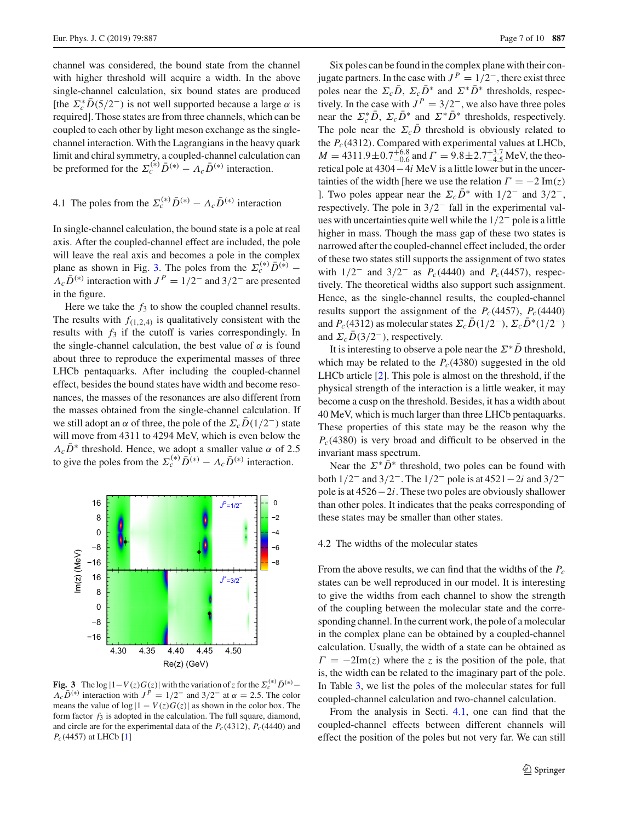channel was considered, the bound state from the channel with higher threshold will acquire a width. In the above single-channel calculation, six bound states are produced [the  $\Sigma_c^* D(5/2^-)$  is not well supported because a large  $\alpha$  is required]. Those states are from three channels, which can be coupled to each other by light meson exchange as the singlechannel interaction. With the Lagrangians in the heavy quark limit and chiral symmetry, a coupled-channel calculation can be preformed for the  $\Sigma_c^{(*)}\bar{D}^{(*)} - A_c\bar{D}^{(*)}$  interaction.

<span id="page-6-1"></span>4.1 The poles from the  $\Sigma_c^{(*)}\bar{D}^{(*)} - A_c\bar{D}^{(*)}$  interaction

In single-channel calculation, the bound state is a pole at real axis. After the coupled-channel effect are included, the pole will leave the real axis and becomes a pole in the complex plane as shown in Fig. [3.](#page-6-0) The poles from the  $\Sigma_c^{(*)} \bar{D}^{(*)}$  –  $\Lambda_c \bar{D}^{(*)}$  interaction with  $J^P = 1/2^-$  and  $3/2^-$  are presented in the figure.

Here we take the  $f_3$  to show the coupled channel results. The results with  $f_{(1,2,4)}$  is qualitatively consistent with the results with  $f_3$  if the cutoff is varies correspondingly. In the single-channel calculation, the best value of  $\alpha$  is found about three to reproduce the experimental masses of three LHCb pentaquarks. After including the coupled-channel effect, besides the bound states have width and become resonances, the masses of the resonances are also different from the masses obtained from the single-channel calculation. If we still adopt an  $\alpha$  of three, the pole of the  $\Sigma_c\overline{D}(1/2^-)$  state will move from 4311 to 4294 MeV, which is even below the  $\Lambda_c \bar{D}^*$  threshold. Hence, we adopt a smaller value  $\alpha$  of 2.5 to give the poles from the  $\Sigma_c^{(*)}\bar{D}^{(*)} - A_c\bar{D}^{(*)}$  interaction.



<span id="page-6-0"></span>**Fig. 3** The log  $|1-V(z)G(z)|$  with the variation of *z* for the  $\sum_{c}^{(*)}\overline{D}^{(*)}$  –  $\Lambda_c \bar{D}^{(*)}$  interaction with  $J^P = 1/2^-$  and  $3/2^-$  at  $\alpha = 2.5$ . The color means the value of  $log|1 - V(z)G(z)|$  as shown in the color box. The form factor  $f_3$  is adopted in the calculation. The full square, diamond, and circle are for the experimental data of the  $P_c(4312)$ ,  $P_c(4440)$  and *Pc*(4457) at LHCb [\[1\]](#page-9-0)

Six poles can be found in the complex plane with their conjugate partners. In the case with  $J<sup>P</sup> = 1/2^-$ , there exist three poles near the  $\Sigma_c \bar{D}$ ,  $\Sigma_c \bar{D}^*$  and  $\Sigma^* \bar{D}^*$  thresholds, respectively. In the case with  $J<sup>P</sup> = 3/2^-$ , we also have three poles near the  $\Sigma_c^* D$ ,  $\Sigma_c D^*$  and  $\Sigma^* D^*$  thresholds, respectively. The pole near the  $\Sigma_c\bar{D}$  threshold is obviously related to the  $P_c(4312)$ . Compared with experimental values at LHCb,  $M = 4311.9 \pm 0.7^{+6.8}_{-0.6}$  and  $\Gamma = 9.8 \pm 2.7^{+3.7}_{-4.5}$  MeV, the theoretical pole at 4304−4*i* MeV is a little lower but in the uncertainties of the width [here we use the relation  $\Gamma = -2 \text{Im}(z)$ ]. Two poles appear near the  $\Sigma_c \bar{D}^*$  with  $1/2^-$  and  $3/2^-$ , respectively. The pole in 3/2− fall in the experimental values with uncertainties quite well while the 1/2− pole is a little higher in mass. Though the mass gap of these two states is narrowed after the coupled-channel effect included, the order of these two states still supports the assignment of two states with 1/2<sup>−</sup> and 3/2<sup>−</sup> as *Pc*(4440) and *Pc*(4457), respectively. The theoretical widths also support such assignment. Hence, as the single-channel results, the coupled-channel results support the assignment of the  $P_c(4457)$ ,  $P_c(4440)$ and  $P_c(4312)$  as molecular states  $\Sigma_c\bar{D}(1/2^-), \Sigma_c\bar{D}^*(1/2^-)$ and  $\Sigma_c\bar{D}(3/2^-)$ , respectively.

It is interesting to observe a pole near the  $\Sigma^* \overline{D}$  threshold, which may be related to the  $P_c(4380)$  suggested in the old LHCb article [\[2](#page-9-1)]. This pole is almost on the threshold, if the physical strength of the interaction is a little weaker, it may become a cusp on the threshold. Besides, it has a width about 40 MeV, which is much larger than three LHCb pentaquarks. These properties of this state may be the reason why the *Pc*(4380) is very broad and difficult to be observed in the invariant mass spectrum.

Near the  $\Sigma^* \bar{D}^*$  threshold, two poles can be found with both 1/2<sup>−</sup> and 3/2−. The 1/2<sup>−</sup> pole is at 4521−2*i* and 3/2<sup>−</sup> pole is at 4526−2*i*. These two poles are obviously shallower than other poles. It indicates that the peaks corresponding of these states may be smaller than other states.

## 4.2 The widths of the molecular states

From the above results, we can find that the widths of the *Pc* states can be well reproduced in our model. It is interesting to give the widths from each channel to show the strength of the coupling between the molecular state and the corresponding channel. In the current work, the pole of a molecular in the complex plane can be obtained by a coupled-channel calculation. Usually, the width of a state can be obtained as  $\Gamma = -2\text{Im}(z)$  where the *z* is the position of the pole, that is, the width can be related to the imaginary part of the pole. In Table [3,](#page-7-0) we list the poles of the molecular states for full coupled-channel calculation and two-channel calculation.

From the analysis in Secti. [4.1,](#page-6-1) one can find that the coupled-channel effects between different channels will effect the position of the poles but not very far. We can still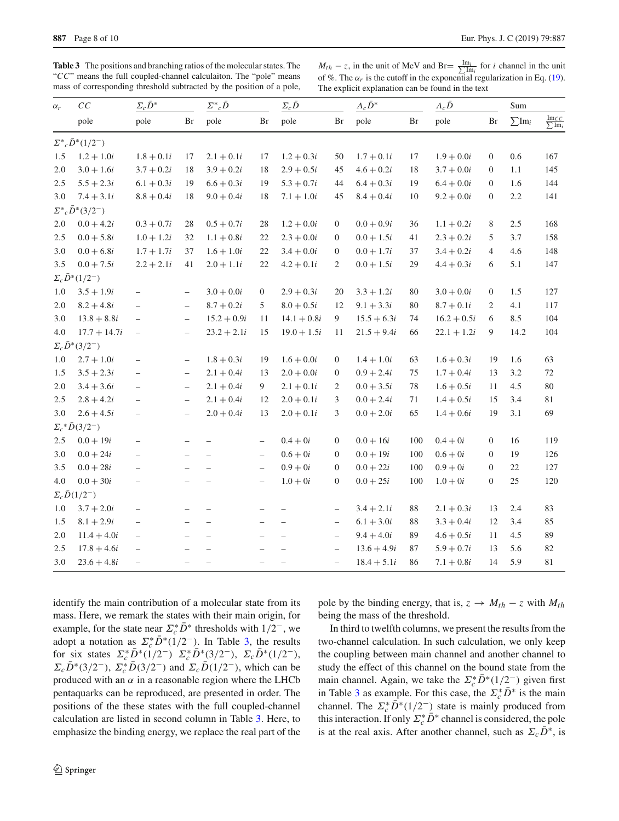<span id="page-7-0"></span>**Table 3** The positions and branching ratios of the molecular states. The "*CC*" means the full coupled-channel calculaiton. The "pole" means mass of corresponding threshold subtracted by the position of a pole,

 $M_{th} - z$ , in the unit of MeV and Br=  $\frac{Im_i}{\sum Im_i}$  for *i* channel in the unit of %. The  $\alpha_r$  is the cutoff in the exponential regularization in Eq. [\(19\)](#page-4-2). The explicit explanation can be found in the text

| $\alpha_r$ | $\cal CC$<br>pole              | $\Sigma_c\bar{D}^*$      |                          | $\Sigma^*_{c}\bar{D}$    |                          | $\Sigma_c \bar{D}$       |                          | $\Lambda_c\bar{D}^*$ |     | $A_c\bar{D}$  |                  | Sum                |                                             |
|------------|--------------------------------|--------------------------|--------------------------|--------------------------|--------------------------|--------------------------|--------------------------|----------------------|-----|---------------|------------------|--------------------|---------------------------------------------|
|            |                                | pole                     | Br                       | pole                     | Br                       | pole                     | Br                       | pole                 | Br  | pole          | Br               | $\sum \text{Im}_i$ | $\frac{\text{Im}_{CC}}{\sum \text{Im}_{i}}$ |
|            | $\Sigma^* c \bar{D}^* (1/2^-)$ |                          |                          |                          |                          |                          |                          |                      |     |               |                  |                    |                                             |
| 1.5        | $1.2 + 1.0i$                   | $1.8 + 0.1i$             | 17                       | $2.1 + 0.1i$             | 17                       | $1.2 + 0.3i$             | 50                       | $1.7 + 0.1i$         | 17  | $1.9 + 0.0i$  | $\boldsymbol{0}$ | 0.6                | 167                                         |
| $2.0\,$    | $3.0 + 1.6i$                   | $3.7 + 0.2i$             | 18                       | $3.9 + 0.2i$             | 18                       | $2.9 + 0.5i$             | 45                       | $4.6 + 0.2i$         | 18  | $3.7 + 0.0i$  | $\boldsymbol{0}$ | $1.1\,$            | 145                                         |
| 2.5        | $5.5 + 2.3i$                   | $6.1 + 0.3i$             | 19                       | $6.6 + 0.3i$             | 19                       | $5.3 + 0.7i$             | 44                       | $6.4 + 0.3i$         | 19  | $6.4 + 0.0i$  | $\boldsymbol{0}$ | 1.6                | 144                                         |
| 3.0        | $7.4 + 3.1i$                   | $8.8 + 0.4i$             | 18                       | $9.0 + 0.4i$             | 18                       | $7.1 + 1.0i$             | 45                       | $8.4 + 0.4i$         | 10  | $9.2 + 0.0i$  | $\boldsymbol{0}$ | 2.2                | 141                                         |
|            | $\Sigma^* c \bar{D}^* (3/2^-)$ |                          |                          |                          |                          |                          |                          |                      |     |               |                  |                    |                                             |
| $2.0\,$    | $0.0 + 4.2i$                   | $0.3 + 0.7i$             | 28                       | $0.5 + 0.7i$             | 28                       | $1.2 + 0.0i$             | $\overline{0}$           | $0.0 + 0.9i$         | 36  | $1.1 + 0.2i$  | 8                | 2.5                | 168                                         |
| 2.5        | $0.0 + 5.8i$                   | $1.0 + 1.2i$             | 32                       | $1.1 + 0.8i$             | 22                       | $2.3 + 0.0i$             | $\boldsymbol{0}$         | $0.0 + 1.5i$         | 41  | $2.3 + 0.2i$  | 5                | 3.7                | 158                                         |
| 3.0        | $0.0 + 6.8i$                   | $1.7 + 1.7i$             | 37                       | $1.6 + 1.0i$             | 22                       | $3.4 + 0.0i$             | $\boldsymbol{0}$         | $0.0 + 1.7i$         | 37  | $3.4 + 0.2i$  | $\overline{4}$   | 4.6                | 148                                         |
| 3.5        | $0.0 + 7.5i$                   | $2.2 + 2.1i$             | 41                       | $2.0 + 1.1i$             | 22                       | $4.2 + 0.1i$             | 2                        | $0.0 + 1.5i$         | 29  | $4.4 + 0.3i$  | 6                | 5.1                | 147                                         |
|            | $\Sigma_c \bar{D}^*(1/2^-)$    |                          |                          |                          |                          |                          |                          |                      |     |               |                  |                    |                                             |
| 1.0        | $3.5 + 1.9i$                   | $\qquad \qquad -$        | $\overline{\phantom{0}}$ | $3.0 + 0.0i$             | $\boldsymbol{0}$         | $2.9 + 0.3i$             | $20\,$                   | $3.3 + 1.2i$         | 80  | $3.0 + 0.0i$  | $\boldsymbol{0}$ | 1.5                | 127                                         |
| 2.0        | $8.2 + 4.8i$                   | $\qquad \qquad -$        | $\overline{\phantom{0}}$ | $8.7 + 0.2i$             | 5                        | $8.0 + 0.5i$             | 12                       | $9.1 + 3.3i$         | 80  | $8.7 + 0.1i$  | 2                | 4.1                | 117                                         |
| 3.0        | $13.8 + 8.8i$                  | $\qquad \qquad -$        | $\overline{\phantom{a}}$ | $15.2 + 0.9i$            | 11                       | $14.1 + 0.8i$            | $\boldsymbol{9}$         | $15.5 + 6.3i$        | 74  | $16.2 + 0.5i$ | 6                | 8.5                | 104                                         |
| 4.0        | $17.7 + 14.7i$                 | $\qquad \qquad -$        | $\overline{\phantom{0}}$ | $23.2 + 2.1i$            | 15                       | $19.0 + 1.5i$            | 11                       | $21.5 + 9.4i$        | 66  | $22.1 + 1.2i$ | 9                | 14.2               | 104                                         |
|            | $\Sigma_c \bar{D}^*(3/2^-)$    |                          |                          |                          |                          |                          |                          |                      |     |               |                  |                    |                                             |
| 1.0        | $2.7 + 1.0i$                   | $\qquad \qquad -$        | $\overline{\phantom{a}}$ | $1.8 + 0.3i$             | 19                       | $1.6 + 0.0i$             | $\mathbf{0}$             | $1.4 + 1.0i$         | 63  | $1.6 + 0.3i$  | 19               | 1.6                | 63                                          |
| 1.5        | $3.5 + 2.3i$                   | $\qquad \qquad -$        | $\overline{\phantom{0}}$ | $2.1 + 0.4i$             | 13                       | $2.0 + 0.0i$             | $\boldsymbol{0}$         | $0.9 + 2.4i$         | 75  | $1.7 + 0.4i$  | 13               | 3.2                | 72                                          |
| 2.0        | $3.4 + 3.6i$                   | $\qquad \qquad -$        | $\overline{\phantom{0}}$ | $2.1 + 0.4i$             | 9                        | $2.1 + 0.1i$             | 2                        | $0.0 + 3.5i$         | 78  | $1.6 + 0.5i$  | 11               | 4.5                | $80\,$                                      |
| 2.5        | $2.8 + 4.2i$                   | $\qquad \qquad -$        | $\overline{\phantom{0}}$ | $2.1 + 0.4i$             | 12                       | $2.0 + 0.1i$             | 3                        | $0.0 + 2.4i$         | 71  | $1.4 + 0.5i$  | 15               | 3.4                | 81                                          |
| 3.0        | $2.6 + 4.5i$                   | $\qquad \qquad -$        | $\overline{\phantom{0}}$ | $2.0 + 0.4i$             | 13                       | $2.0 + 0.1i$             | 3                        | $0.0 + 2.0i$         | 65  | $1.4 + 0.6i$  | 19               | 3.1                | 69                                          |
|            | $\Sigma_c * \bar{D}(3/2^-)$    |                          |                          |                          |                          |                          |                          |                      |     |               |                  |                    |                                             |
| 2.5        | $0.0 + 19i$                    | $\qquad \qquad -$        | $\overline{\phantom{0}}$ | $\overline{\phantom{m}}$ | $\qquad \qquad -$        | $0.4 + 0i$               | $\mathbf{0}$             | $0.0 + 16i$          | 100 | $0.4 + 0i$    | $\boldsymbol{0}$ | 16                 | 119                                         |
| 3.0        | $0.0 + 24i$                    | $\qquad \qquad -$        |                          | $\overline{\phantom{m}}$ | $\qquad \qquad -$        | $0.6 + 0i$               | $\boldsymbol{0}$         | $0.0 + 19i$          | 100 | $0.6 + 0i$    | $\boldsymbol{0}$ | 19                 | 126                                         |
| 3.5        | $0.0 + 28i$                    | $\qquad \qquad -$        |                          | $\equiv$                 | $\qquad \qquad -$        | $0.9 + 0i$               | $\boldsymbol{0}$         | $0.0 + 22i$          | 100 | $0.9 + 0i$    | $\boldsymbol{0}$ | 22                 | 127                                         |
| 4.0        | $0.0 + 30i$                    | $\qquad \qquad -$        |                          |                          | $\qquad \qquad -$        | $1.0 + 0i$               | $\overline{0}$           | $0.0 + 25i$          | 100 | $1.0 + 0i$    | $\boldsymbol{0}$ | 25                 | 120                                         |
|            | $\Sigma_c\bar{D}(1/2^-)$       |                          |                          |                          |                          |                          |                          |                      |     |               |                  |                    |                                             |
| 1.0        | $3.7 + 2.0i$                   | $\qquad \qquad -$        |                          |                          |                          |                          | $\overline{\phantom{m}}$ | $3.4+2.1i$           | 88  | $2.1 + 0.3i$  | 13               | 2.4                | 83                                          |
| 1.5        | $8.1 + 2.9i$                   | $\qquad \qquad -$        |                          |                          |                          |                          | $\qquad \qquad -$        | $6.1 + 3.0i$         | 88  | $3.3 + 0.4i$  | 12               | 3.4                | 85                                          |
| $2.0$      | $11.4 + 4.0i$                  | $\overline{\phantom{a}}$ |                          | $\overline{\phantom{m}}$ |                          | $\overline{\phantom{0}}$ | $\overline{\phantom{a}}$ | $9.4 + 4.0i$         | 89  | $4.6 + 0.5i$  | 11               | 4.5                | 89                                          |
| 2.5        | $17.8 + 4.6i$                  | $\qquad \qquad -$        |                          |                          |                          |                          | $\overline{\phantom{a}}$ | $13.6 + 4.9i$        | 87  | $5.9 + 0.7i$  | 13               | 5.6                | 82                                          |
| 3.0        | $23.6 + 4.8i$                  | $\qquad \qquad -$        | $\overline{\phantom{0}}$ | $\overline{\phantom{a}}$ | $\overline{\phantom{0}}$ | $\qquad \qquad -$        | $\overline{\phantom{0}}$ | $18.4 + 5.1i$        | 86  | $7.1 + 0.8i$  | 14               | 5.9                | 81                                          |
|            |                                |                          |                          |                          |                          |                          |                          |                      |     |               |                  |                    |                                             |

identify the main contribution of a molecular state from its mass. Here, we remark the states with their main origin, for example, for the state near  $\Sigma_c^* D^*$  thresholds with  $1/2^-$ , we adopt a notation as  $\Sigma_c^* D^* (1/2^-)$ . In Table [3,](#page-7-0) the results for six states  $\Sigma_c^* D^* (1/2^-)$   $\Sigma_c^* D^* (3/2^-)$ ,  $\Sigma_c D^* (1/2^-)$ ,  $\Sigma_c D^*(3/2^-)$ ,  $\Sigma_c^* D(3/2^-)$  and  $\Sigma_c D(1/2^-)$ , which can be produced with an  $\alpha$  in a reasonable region where the LHCb pentaquarks can be reproduced, are presented in order. The positions of the these states with the full coupled-channel calculation are listed in second column in Table [3.](#page-7-0) Here, to emphasize the binding energy, we replace the real part of the pole by the binding energy, that is,  $z \rightarrow M_{th} - z$  with  $M_{th}$ being the mass of the threshold.

In third to twelfth columns, we present the results from the two-channel calculation. In such calculation, we only keep the coupling between main channel and another channel to study the effect of this channel on the bound state from the main channel. Again, we take the  $\Sigma_c^* D^* (1/2^-)$  given first in Table [3](#page-7-0) as example. For this case, the  $\Sigma_c^* D^*$  is the main channel. The  $\Sigma_c^* D^*(1/2^-)$  state is mainly produced from this interaction. If only  $\Sigma_c^* D^*$  channel is considered, the pole is at the real axis. After another channel, such as  $\Sigma_c D^*$ , is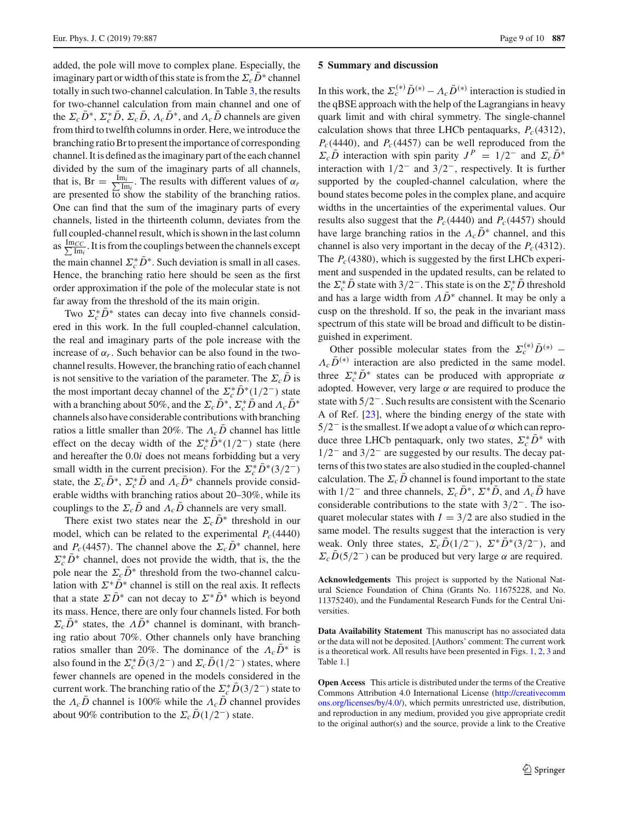added, the pole will move to complex plane. Especially, the imaginary part or width of this state is from the  $\Sigma_c \bar{D}^*$  channel totally in such two-channel calculation. In Table [3,](#page-7-0) the results for two-channel calculation from main channel and one of the  $\Sigma_c D^*$ ,  $\Sigma_c^* D$ ,  $\Sigma_c D$ ,  $\Lambda_c D^*$ , and  $\Lambda_c D$  channels are given from third to twelfth columns in order. Here, we introduce the branching ratio Br to present the importance of corresponding channel. It is defined as the imaginary part of the each channel divided by the sum of the imaginary parts of all channels, that is,  $Br = \frac{Im_i}{\sum Im_i}$  $\frac{n_i}{\text{Im}_i}$ . The results with different values of  $\alpha_r$ are presented  $\overline{6}$  show the stability of the branching ratios. One can find that the sum of the imaginary parts of every channels, listed in the thirteenth column, deviates from the full coupled-channel result, which is shown in the last column as  $\frac{\text{Im}_{CC}}{\sum \text{Im}_{C}}$  $\frac{ICC}{Im_i}$ . It is from the couplings between the channels except the main channel  $\Sigma_c^* D^*$ . Such deviation is small in all cases. Hence, the branching ratio here should be seen as the first order approximation if the pole of the molecular state is not far away from the threshold of the its main origin.

Two  $\Sigma_c^* D^*$  states can decay into five channels considered in this work. In the full coupled-channel calculation, the real and imaginary parts of the pole increase with the increase of  $\alpha_r$ . Such behavior can be also found in the twochannel results. However, the branching ratio of each channel is not sensitive to the variation of the parameter. The  $\Sigma_c \bar{D}$  is the most important decay channel of the  $\sum_{c}^{*} D^{*}(1/2^{-})$  state with a branching about 50%, and the  $\Sigma_c D^*$ ,  $\Sigma_c^* D$  and  $\Lambda_c D^*$ channels also have considerable contributions with branching ratios a little smaller than 20%. The  $\Lambda_c \bar{D}$  channel has little effect on the decay width of the  $\Sigma_c^* D^* (1/2^-)$  state (here and hereafter the 0.0*i* does not means forbidding but a very small width in the current precision). For the  $\sum_{c}^{*} D^{*}(3/2^{-})$ state, the  $\Sigma_c D^*$ ,  $\Sigma_c^* D$  and  $\Lambda_c D^*$  channels provide considerable widths with branching ratios about 20–30%, while its couplings to the  $\Sigma_c \bar{D}$  and  $\Lambda_c \bar{D}$  channels are very small.

There exist two states near the  $\Sigma_c \bar{D}^*$  threshold in our model, which can be related to the experimental  $P_c(4440)$ and *P<sub>c</sub>*(4457). The channel above the  $\Sigma_c \bar{D}^*$  channel, here  $\Sigma_c^* D^*$  channel, does not provide the width, that is, the the pole near the  $\Sigma_c \bar{D}^*$  threshold from the two-channel calculation with  $\Sigma^* \bar{D}^*$  channel is still on the real axis. It reflects that a state  $\sum \overline{D}^*$  can not decay to  $\Sigma^* \overline{D}^*$  which is beyond its mass. Hence, there are only four channels listed. For both  $\Sigma_c \bar{D}^*$  states, the  $\Lambda \bar{D}^*$  channel is dominant, with branching ratio about 70%. Other channels only have branching ratios smaller than 20%. The dominance of the  $\Lambda_c \bar{D}^*$  is also found in the  $\Sigma_c^* D(3/2^-)$  and  $\Sigma_c D(1/2^-)$  states, where fewer channels are opened in the models considered in the current work. The branching ratio of the  $\sum_{c}^{*} D(3/2^-)$  state to the  $\Lambda_c\bar{D}$  channel is 100% while the  $\Lambda_c\bar{D}$  channel provides about 90% contribution to the  $\Sigma_c D(1/2^-)$  state.

#### **5 Summary and discussion**

In this work, the  $\Sigma_c^{(*)}\bar{D}^{(*)} - A_c\bar{D}^{(*)}$  interaction is studied in the qBSE approach with the help of the Lagrangians in heavy quark limit and with chiral symmetry. The single-channel calculation shows that three LHCb pentaquarks,  $P_c(4312)$ ,  $P_c(4440)$ , and  $P_c(4457)$  can be well reproduced from the  $\Sigma_c \bar{D}$  interaction with spin parity  $J^P = 1/2^-$  and  $\Sigma_c \bar{D}^*$ interaction with  $1/2^-$  and  $3/2^-$ , respectively. It is further supported by the coupled-channel calculation, where the bound states become poles in the complex plane, and acquire widths in the uncertainties of the experimental values. Our results also suggest that the  $P_c(4440)$  and  $P_c(4457)$  should have large branching ratios in the  $\Lambda_c\bar{D}^*$  channel, and this channel is also very important in the decay of the  $P_c(4312)$ . The  $P_c(4380)$ , which is suggested by the first LHCb experiment and suspended in the updated results, can be related to the  $\Sigma_c^* D$  state with 3/2<sup>-</sup>. This state is on the  $\Sigma_c^* D$  threshold and has a large width from  $\Lambda \bar{D}^*$  channel. It may be only a cusp on the threshold. If so, the peak in the invariant mass spectrum of this state will be broad and difficult to be distinguished in experiment.

Other possible molecular states from the  $\Sigma_c^{(*)}\bar{D}^{(*)}$  –  $\Lambda_c\bar{D}^{(*)}$  interaction are also predicted in the same model. three  $\Sigma_c^* D^*$  states can be produced with appropriate  $\alpha$ adopted. However, very large  $\alpha$  are required to produce the state with 5/2−. Such results are consistent with the Scenario A of Ref. [\[23\]](#page-9-7), where the binding energy of the state with  $5/2^-$  is the smallest. If we adopt a value of  $\alpha$  which can reproduce three LHCb pentaquark, only two states,  $\Sigma_c^* D^*$  with 1/2− and 3/2− are suggested by our results. The decay patterns of this two states are also studied in the coupled-channel calculation. The  $\Sigma_c D$  channel is found important to the state with  $1/2^-$  and three channels,  $\Sigma_c \bar{D}^*$ ,  $\Sigma^* \bar{D}$ , and  $\Lambda_c \bar{D}$  have considerable contributions to the state with 3/2−. The isoquaret molecular states with  $I = 3/2$  are also studied in the same model. The results suggest that the interaction is very weak. Only three states,  $\Sigma_c\bar{D}(1/2^-)$ ,  $\Sigma^*\bar{D}^*(3/2^-)$ , and  $\Sigma_c\bar{D}(5/2^-)$  can be produced but very large  $\alpha$  are required.

**Acknowledgements** This project is supported by the National Natural Science Foundation of China (Grants No. 11675228, and No. 11375240), and the Fundamental Research Funds for the Central Universities.

**Data Availability Statement** This manuscript has no associated data or the data will not be deposited. [Authors' comment: The current work is a theoretical work. All results have been presented in Figs. [1,](#page-4-1) [2,](#page-5-1) [3](#page-6-0) and Table [1.](#page-3-0)]

**Open Access** This article is distributed under the terms of the Creative Commons Attribution 4.0 International License [\(http://creativecomm](http://creativecommons.org/licenses/by/4.0/) [ons.org/licenses/by/4.0/\)](http://creativecommons.org/licenses/by/4.0/), which permits unrestricted use, distribution, and reproduction in any medium, provided you give appropriate credit to the original author(s) and the source, provide a link to the Creative